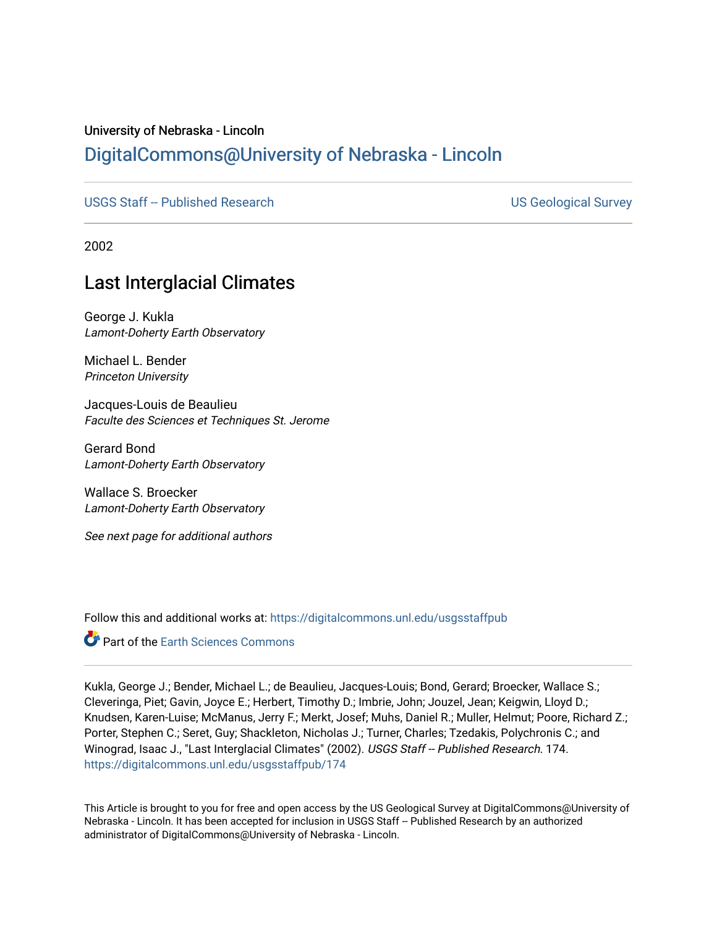# University of Nebraska - Lincoln [DigitalCommons@University of Nebraska - Lincoln](https://digitalcommons.unl.edu/)

[USGS Staff -- Published Research](https://digitalcommons.unl.edu/usgsstaffpub) **Network Constructs and Constructs** US Geological Survey

2002

# Last Interglacial Climates

George J. Kukla Lamont-Doherty Earth Observatory

Michael L. Bender Princeton University

Jacques-Louis de Beaulieu Faculte des Sciences et Techniques St. Jerome

Gerard Bond Lamont-Doherty Earth Observatory

Wallace S. Broecker Lamont-Doherty Earth Observatory

See next page for additional authors

Follow this and additional works at: [https://digitalcommons.unl.edu/usgsstaffpub](https://digitalcommons.unl.edu/usgsstaffpub?utm_source=digitalcommons.unl.edu%2Fusgsstaffpub%2F174&utm_medium=PDF&utm_campaign=PDFCoverPages) 

Part of the [Earth Sciences Commons](http://network.bepress.com/hgg/discipline/153?utm_source=digitalcommons.unl.edu%2Fusgsstaffpub%2F174&utm_medium=PDF&utm_campaign=PDFCoverPages) 

Kukla, George J.; Bender, Michael L.; de Beaulieu, Jacques-Louis; Bond, Gerard; Broecker, Wallace S.; Cleveringa, Piet; Gavin, Joyce E.; Herbert, Timothy D.; Imbrie, John; Jouzel, Jean; Keigwin, Lloyd D.; Knudsen, Karen-Luise; McManus, Jerry F.; Merkt, Josef; Muhs, Daniel R.; Muller, Helmut; Poore, Richard Z.; Porter, Stephen C.; Seret, Guy; Shackleton, Nicholas J.; Turner, Charles; Tzedakis, Polychronis C.; and Winograd, Isaac J., "Last Interglacial Climates" (2002). USGS Staff -- Published Research. 174. [https://digitalcommons.unl.edu/usgsstaffpub/174](https://digitalcommons.unl.edu/usgsstaffpub/174?utm_source=digitalcommons.unl.edu%2Fusgsstaffpub%2F174&utm_medium=PDF&utm_campaign=PDFCoverPages) 

This Article is brought to you for free and open access by the US Geological Survey at DigitalCommons@University of Nebraska - Lincoln. It has been accepted for inclusion in USGS Staff -- Published Research by an authorized administrator of DigitalCommons@University of Nebraska - Lincoln.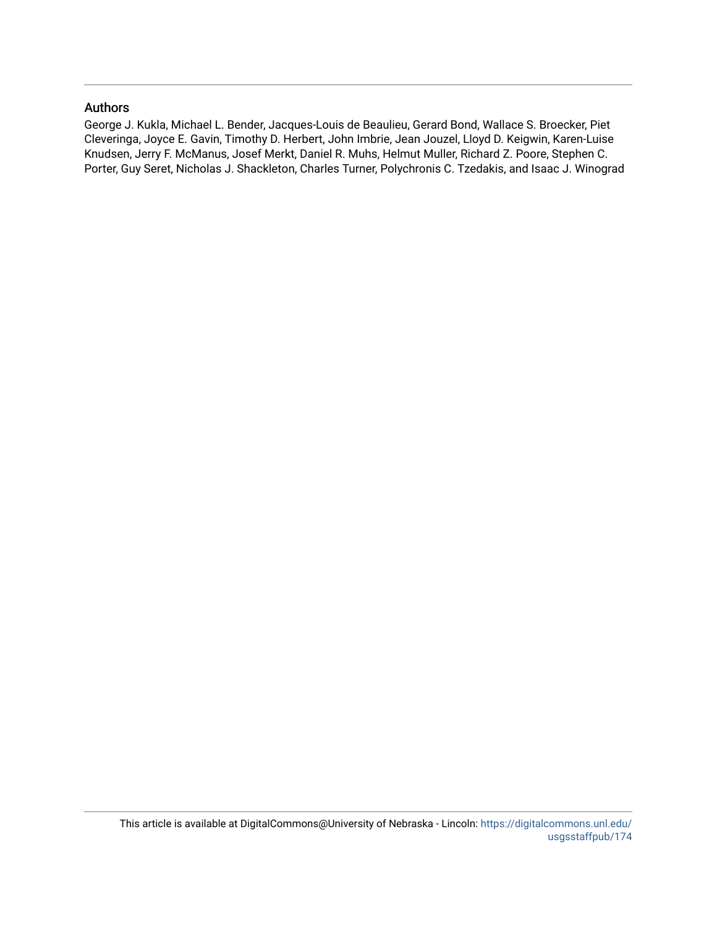## Authors

George J. Kukla, Michael L. Bender, Jacques-Louis de Beaulieu, Gerard Bond, Wallace S. Broecker, Piet Cleveringa, Joyce E. Gavin, Timothy D. Herbert, John Imbrie, Jean Jouzel, Lloyd D. Keigwin, Karen-Luise Knudsen, Jerry F. McManus, Josef Merkt, Daniel R. Muhs, Helmut Muller, Richard Z. Poore, Stephen C. Porter, Guy Seret, Nicholas J. Shackleton, Charles Turner, Polychronis C. Tzedakis, and Isaac J. Winograd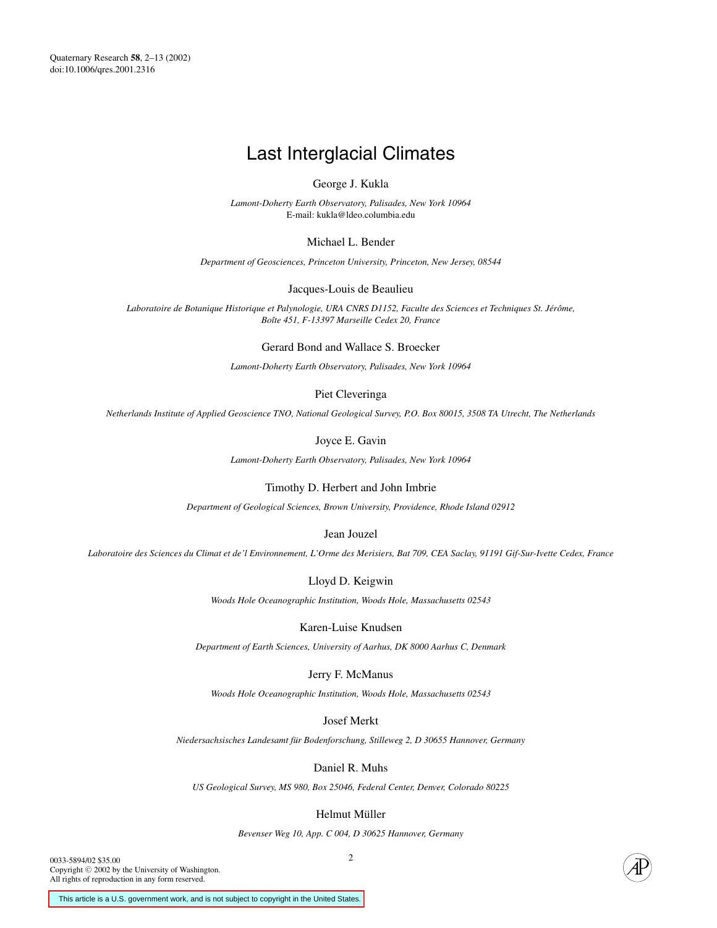Quaternary Research **58**, 2–13 (2002) doi:10.1006/qres.2001.2316

## Last Interglacial Climates

George J. Kukla

*Lamont-Doherty Earth Observatory, Palisades, New York 10964* E-mail: kukla@ldeo.columbia.edu

## Michael L. Bender

*Department of Geosciences, Princeton University, Princeton, New Jersey, 08544*

### Jacques-Louis de Beaulieu

*Laboratoire de Botanique Historique et Palynologie, URA CNRS D1152, Faculte des Sciences et Techniques St. Jer´ ome, ˆ Boˆıte 451, F-13397 Marseille Cedex 20, France*

## Gerard Bond and Wallace S. Broecker

*Lamont-Doherty Earth Observatory, Palisades, New York 10964*

## Piet Cleveringa

*Netherlands Institute of Applied Geoscience TNO, National Geological Survey, P.O. Box 80015, 3508 TA Utrecht, The Netherlands*

Joyce E. Gavin

*Lamont-Doherty Earth Observatory, Palisades, New York 10964*

Timothy D. Herbert and John Imbrie

*Department of Geological Sciences, Brown University, Providence, Rhode Island 02912*

Jean Jouzel

*Laboratoire des Sciences du Climat et de'l Environnement, L'Orme des Merisiers, Bat 709, CEA Saclay, 91191 Gif-Sur-Ivette Cedex, France*

Lloyd D. Keigwin

*Woods Hole Oceanographic Institution, Woods Hole, Massachusetts 02543*

## Karen-Luise Knudsen

*Department of Earth Sciences, University of Aarhus, DK 8000 Aarhus C, Denmark*

## Jerry F. McManus

*Woods Hole Oceanographic Institution, Woods Hole, Massachusetts 02543*

Josef Merkt

*Niedersachsisches Landesamt fur Bodenforschung, Stilleweg 2, D 30655 Hannover, Germany ¨*

Daniel R. Muhs

*US Geological Survey, MS 980, Box 25046, Federal Center, Denver, Colorado 80225*

## Helmut Müller

*Bevenser Weg 10, App. C 004, D 30625 Hannover, Germany*

2 0033-5894/02 \$35.00 Copyright  $\odot$  2002 by the University of Washington. All rights of reproduction in any form reserved.

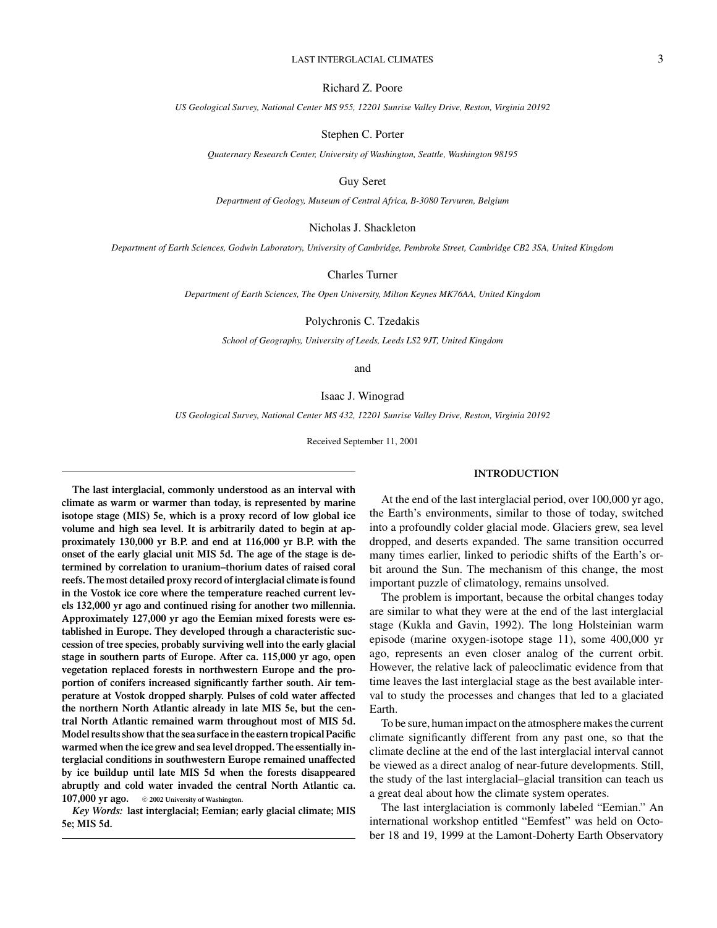## LAST INTERGLACIAL CLIMATES 3

#### Richard Z. Poore

*US Geological Survey, National Center MS 955, 12201 Sunrise Valley Drive, Reston, Virginia 20192*

## Stephen C. Porter

*Quaternary Research Center, University of Washington, Seattle, Washington 98195*

#### Guy Seret

*Department of Geology, Museum of Central Africa, B-3080 Tervuren, Belgium*

#### Nicholas J. Shackleton

*Department of Earth Sciences, Godwin Laboratory, University of Cambridge, Pembroke Street, Cambridge CB2 3SA, United Kingdom*

#### Charles Turner

*Department of Earth Sciences, The Open University, Milton Keynes MK76AA, United Kingdom*

## Polychronis C. Tzedakis

*School of Geography, University of Leeds, Leeds LS2 9JT, United Kingdom*

and

## Isaac J. Winograd

*US Geological Survey, National Center MS 432, 12201 Sunrise Valley Drive, Reston, Virginia 20192*

Received September 11, 2001

## **INTRODUCTION**

**The last interglacial, commonly understood as an interval with climate as warm or warmer than today, is represented by marine isotope stage (MIS) 5e, which is a proxy record of low global ice volume and high sea level. It is arbitrarily dated to begin at approximately 130,000 yr B.P. and end at 116,000 yr B.P. with the onset of the early glacial unit MIS 5d. The age of the stage is determined by correlation to uranium–thorium dates of raised coral reefs. The most detailed proxy record of interglacial climate is found in the Vostok ice core where the temperature reached current levels 132,000 yr ago and continued rising for another two millennia. Approximately 127,000 yr ago the Eemian mixed forests were established in Europe. They developed through a characteristic succession of tree species, probably surviving well into the early glacial stage in southern parts of Europe. After ca. 115,000 yr ago, open vegetation replaced forests in northwestern Europe and the proportion of conifers increased significantly farther south. Air temperature at Vostok dropped sharply. Pulses of cold water affected the northern North Atlantic already in late MIS 5e, but the central North Atlantic remained warm throughout most of MIS 5d. Model results show that the sea surface in the eastern tropical Pacific warmed when the ice grew and sea level dropped. The essentially interglacial conditions in southwestern Europe remained unaffected by ice buildup until late MIS 5d when the forests disappeared abruptly and cold water invaded the central North Atlantic ca. 107,000 yr ago.** -**<sup>C</sup> 2002 University of Washington.**

*Key Words:* **last interglacial; Eemian; early glacial climate; MIS 5e; MIS 5d.**

At the end of the last interglacial period, over 100,000 yr ago, the Earth's environments, similar to those of today, switched into a profoundly colder glacial mode. Glaciers grew, sea level dropped, and deserts expanded. The same transition occurred many times earlier, linked to periodic shifts of the Earth's orbit around the Sun. The mechanism of this change, the most important puzzle of climatology, remains unsolved.

The problem is important, because the orbital changes today are similar to what they were at the end of the last interglacial stage (Kukla and Gavin, 1992). The long Holsteinian warm episode (marine oxygen-isotope stage 11), some 400,000 yr ago, represents an even closer analog of the current orbit. However, the relative lack of paleoclimatic evidence from that time leaves the last interglacial stage as the best available interval to study the processes and changes that led to a glaciated Earth.

To be sure, human impact on the atmosphere makes the current climate significantly different from any past one, so that the climate decline at the end of the last interglacial interval cannot be viewed as a direct analog of near-future developments. Still, the study of the last interglacial–glacial transition can teach us a great deal about how the climate system operates.

The last interglaciation is commonly labeled "Eemian." An international workshop entitled "Eemfest" was held on October 18 and 19, 1999 at the Lamont-Doherty Earth Observatory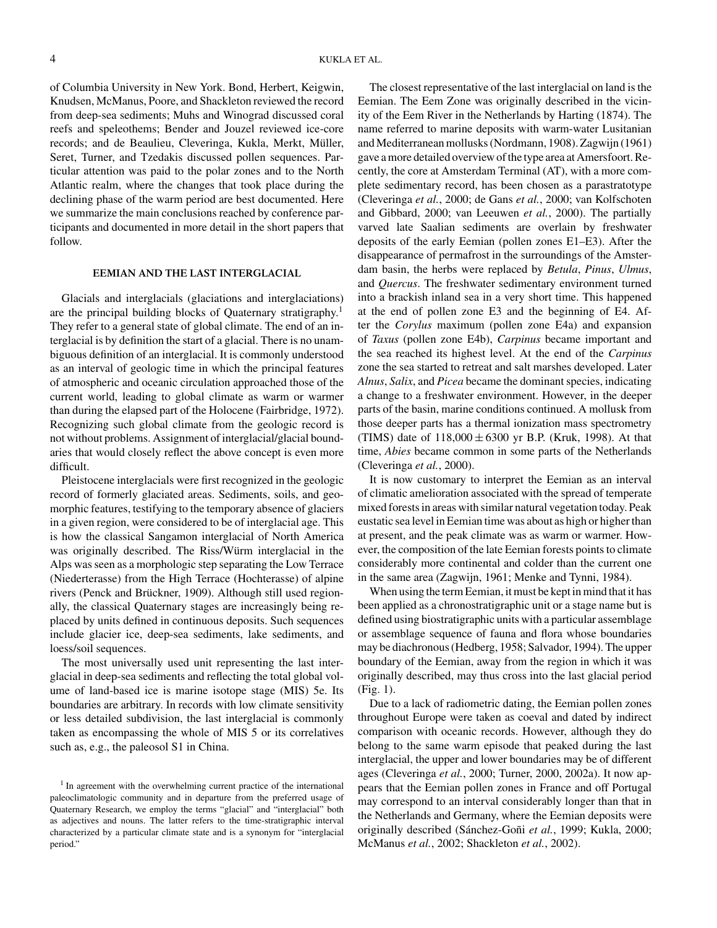of Columbia University in New York. Bond, Herbert, Keigwin, Knudsen, McManus, Poore, and Shackleton reviewed the record from deep-sea sediments; Muhs and Winograd discussed coral reefs and speleothems; Bender and Jouzel reviewed ice-core records; and de Beaulieu, Cleveringa, Kukla, Merkt, Müller, Seret, Turner, and Tzedakis discussed pollen sequences. Particular attention was paid to the polar zones and to the North Atlantic realm, where the changes that took place during the declining phase of the warm period are best documented. Here we summarize the main conclusions reached by conference participants and documented in more detail in the short papers that follow.

## **EEMIAN AND THE LAST INTERGLACIAL**

Glacials and interglacials (glaciations and interglaciations) are the principal building blocks of Quaternary stratigraphy.<sup>1</sup> They refer to a general state of global climate. The end of an interglacial is by definition the start of a glacial. There is no unambiguous definition of an interglacial. It is commonly understood as an interval of geologic time in which the principal features of atmospheric and oceanic circulation approached those of the current world, leading to global climate as warm or warmer than during the elapsed part of the Holocene (Fairbridge, 1972). Recognizing such global climate from the geologic record is not without problems. Assignment of interglacial/glacial boundaries that would closely reflect the above concept is even more difficult.

Pleistocene interglacials were first recognized in the geologic record of formerly glaciated areas. Sediments, soils, and geomorphic features, testifying to the temporary absence of glaciers in a given region, were considered to be of interglacial age. This is how the classical Sangamon interglacial of North America was originally described. The Riss/Würm interglacial in the Alps was seen as a morphologic step separating the Low Terrace (Niederterasse) from the High Terrace (Hochterasse) of alpine rivers (Penck and Brückner, 1909). Although still used regionally, the classical Quaternary stages are increasingly being replaced by units defined in continuous deposits. Such sequences include glacier ice, deep-sea sediments, lake sediments, and loess/soil sequences.

The most universally used unit representing the last interglacial in deep-sea sediments and reflecting the total global volume of land-based ice is marine isotope stage (MIS) 5e. Its boundaries are arbitrary. In records with low climate sensitivity or less detailed subdivision, the last interglacial is commonly taken as encompassing the whole of MIS 5 or its correlatives such as, e.g., the paleosol S1 in China.

The closest representative of the last interglacial on land is the Eemian. The Eem Zone was originally described in the vicinity of the Eem River in the Netherlands by Harting (1874). The name referred to marine deposits with warm-water Lusitanian and Mediterranean mollusks (Nordmann, 1908). Zagwijn (1961) gave a more detailed overview of the type area at Amersfoort. Recently, the core at Amsterdam Terminal (AT), with a more complete sedimentary record, has been chosen as a parastratotype (Cleveringa *et al.*, 2000; de Gans *et al.*, 2000; van Kolfschoten and Gibbard, 2000; van Leeuwen *et al.*, 2000). The partially varved late Saalian sediments are overlain by freshwater deposits of the early Eemian (pollen zones E1–E3). After the disappearance of permafrost in the surroundings of the Amsterdam basin, the herbs were replaced by *Betula*, *Pinus*, *Ulmus*, and *Quercus*. The freshwater sedimentary environment turned into a brackish inland sea in a very short time. This happened at the end of pollen zone E3 and the beginning of E4. After the *Corylus* maximum (pollen zone E4a) and expansion of *Taxus* (pollen zone E4b), *Carpinus* became important and the sea reached its highest level. At the end of the *Carpinus* zone the sea started to retreat and salt marshes developed. Later *Alnus*, *Salix*, and *Picea* became the dominant species, indicating a change to a freshwater environment. However, in the deeper parts of the basin, marine conditions continued. A mollusk from those deeper parts has a thermal ionization mass spectrometry (TIMS) date of  $118,000 \pm 6300$  yr B.P. (Kruk, 1998). At that time, *Abies* became common in some parts of the Netherlands (Cleveringa *et al.*, 2000).

It is now customary to interpret the Eemian as an interval of climatic amelioration associated with the spread of temperate mixed forests in areas with similar natural vegetation today. Peak eustatic sea level in Eemian time was about as high or higher than at present, and the peak climate was as warm or warmer. However, the composition of the late Eemian forests points to climate considerably more continental and colder than the current one in the same area (Zagwijn, 1961; Menke and Tynni, 1984).

When using the term Eemian, it must be kept in mind that it has been applied as a chronostratigraphic unit or a stage name but is defined using biostratigraphic units with a particular assemblage or assemblage sequence of fauna and flora whose boundaries may be diachronous (Hedberg, 1958; Salvador, 1994). The upper boundary of the Eemian, away from the region in which it was originally described, may thus cross into the last glacial period (Fig. 1).

Due to a lack of radiometric dating, the Eemian pollen zones throughout Europe were taken as coeval and dated by indirect comparison with oceanic records. However, although they do belong to the same warm episode that peaked during the last interglacial, the upper and lower boundaries may be of different ages (Cleveringa *et al.*, 2000; Turner, 2000, 2002a). It now appears that the Eemian pollen zones in France and off Portugal may correspond to an interval considerably longer than that in the Netherlands and Germany, where the Eemian deposits were originally described (Sánchez-Goñi et al., 1999; Kukla, 2000; McManus *et al.*, 2002; Shackleton *et al.*, 2002).

<sup>&</sup>lt;sup>1</sup> In agreement with the overwhelming current practice of the international paleoclimatologic community and in departure from the preferred usage of Quaternary Research, we employ the terms "glacial" and "interglacial" both as adjectives and nouns. The latter refers to the time-stratigraphic interval characterized by a particular climate state and is a synonym for "interglacial period."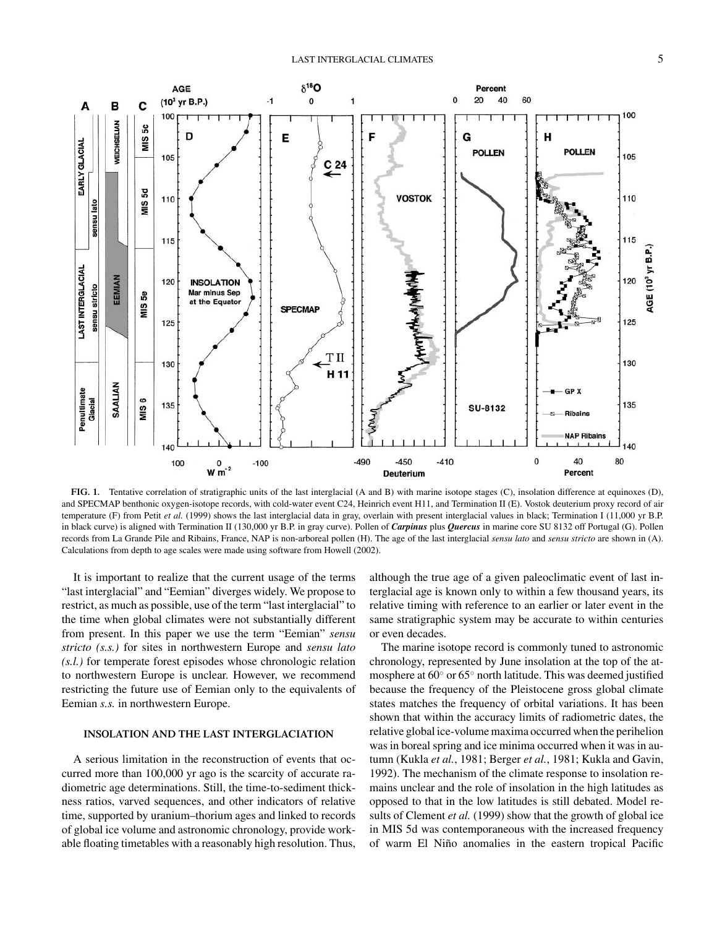

**FIG. 1.** Tentative correlation of stratigraphic units of the last interglacial (A and B) with marine isotope stages (C), insolation difference at equinoxes (D), and SPECMAP benthonic oxygen-isotope records, with cold-water event C24, Heinrich event H11, and Termination II (E). Vostok deuterium proxy record of air temperature (F) from Petit *et al.* (1999) shows the last interglacial data in gray, overlain with present interglacial values in black; Termination I (11,000 yr B.P. in black curve) is aligned with Termination II (130,000 yr B.P. in gray curve). Pollen of *Carpinus* plus *Quercus* in marine core SU 8132 off Portugal (G). Pollen records from La Grande Pile and Ribains, France, NAP is non-arboreal pollen (H). The age of the last interglacial *sensu lato* and *sensu stricto* are shown in (A). Calculations from depth to age scales were made using software from Howell (2002).

It is important to realize that the current usage of the terms "last interglacial" and "Eemian" diverges widely. We propose to restrict, as much as possible, use of the term "last interglacial" to the time when global climates were not substantially different from present. In this paper we use the term "Eemian" *sensu stricto (s.s.)* for sites in northwestern Europe and *sensu lato (s.l.)* for temperate forest episodes whose chronologic relation to northwestern Europe is unclear. However, we recommend restricting the future use of Eemian only to the equivalents of Eemian *s.s.* in northwestern Europe.

## **INSOLATION AND THE LAST INTERGLACIATION**

A serious limitation in the reconstruction of events that occurred more than 100,000 yr ago is the scarcity of accurate radiometric age determinations. Still, the time-to-sediment thickness ratios, varved sequences, and other indicators of relative time, supported by uranium–thorium ages and linked to records of global ice volume and astronomic chronology, provide workable floating timetables with a reasonably high resolution. Thus, although the true age of a given paleoclimatic event of last interglacial age is known only to within a few thousand years, its relative timing with reference to an earlier or later event in the same stratigraphic system may be accurate to within centuries or even decades.

The marine isotope record is commonly tuned to astronomic chronology, represented by June insolation at the top of the atmosphere at 60◦ or 65◦ north latitude. This was deemed justified because the frequency of the Pleistocene gross global climate states matches the frequency of orbital variations. It has been shown that within the accuracy limits of radiometric dates, the relative global ice-volume maxima occurred when the perihelion was in boreal spring and ice minima occurred when it was in autumn (Kukla *et al.*, 1981; Berger *et al.*, 1981; Kukla and Gavin, 1992). The mechanism of the climate response to insolation remains unclear and the role of insolation in the high latitudes as opposed to that in the low latitudes is still debated. Model results of Clement *et al.* (1999) show that the growth of global ice in MIS 5d was contemporaneous with the increased frequency of warm El Niño anomalies in the eastern tropical Pacific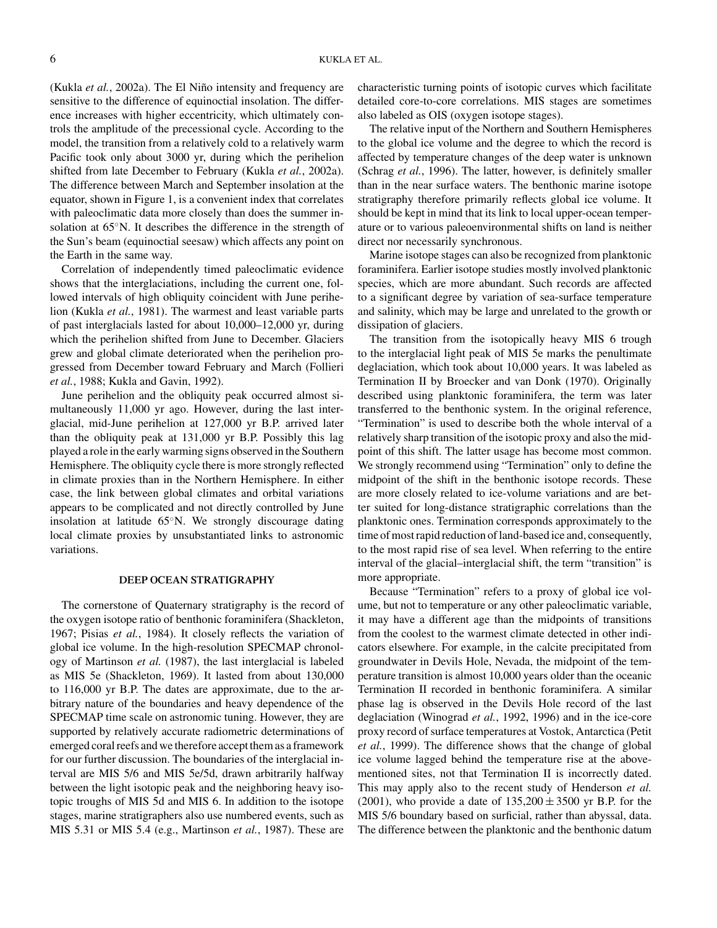(Kukla *et al.*, 2002a). The El Niño intensity and frequency are sensitive to the difference of equinoctial insolation. The difference increases with higher eccentricity, which ultimately controls the amplitude of the precessional cycle. According to the model, the transition from a relatively cold to a relatively warm Pacific took only about 3000 yr, during which the perihelion shifted from late December to February (Kukla *et al.*, 2002a). The difference between March and September insolation at the equator, shown in Figure 1, is a convenient index that correlates with paleoclimatic data more closely than does the summer insolation at 65<sup>°</sup>N. It describes the difference in the strength of the Sun's beam (equinoctial seesaw) which affects any point on the Earth in the same way.

Correlation of independently timed paleoclimatic evidence shows that the interglaciations, including the current one, followed intervals of high obliquity coincident with June perihelion (Kukla *et al.*, 1981). The warmest and least variable parts of past interglacials lasted for about 10,000–12,000 yr, during which the perihelion shifted from June to December. Glaciers grew and global climate deteriorated when the perihelion progressed from December toward February and March (Follieri *et al.*, 1988; Kukla and Gavin, 1992).

June perihelion and the obliquity peak occurred almost simultaneously 11,000 yr ago. However, during the last interglacial, mid-June perihelion at 127,000 yr B.P. arrived later than the obliquity peak at 131,000 yr B.P. Possibly this lag played a role in the early warming signs observed in the Southern Hemisphere. The obliquity cycle there is more strongly reflected in climate proxies than in the Northern Hemisphere. In either case, the link between global climates and orbital variations appears to be complicated and not directly controlled by June insolation at latitude 65◦N. We strongly discourage dating local climate proxies by unsubstantiated links to astronomic variations.

## **DEEP OCEAN STRATIGRAPHY**

The cornerstone of Quaternary stratigraphy is the record of the oxygen isotope ratio of benthonic foraminifera (Shackleton, 1967; Pisias *et al.*, 1984). It closely reflects the variation of global ice volume. In the high-resolution SPECMAP chronology of Martinson *et al.* (1987), the last interglacial is labeled as MIS 5e (Shackleton, 1969). It lasted from about 130,000 to 116,000 yr B.P. The dates are approximate, due to the arbitrary nature of the boundaries and heavy dependence of the SPECMAP time scale on astronomic tuning. However, they are supported by relatively accurate radiometric determinations of emerged coral reefs and we therefore accept them as a framework for our further discussion. The boundaries of the interglacial interval are MIS 5/6 and MIS 5e/5d, drawn arbitrarily halfway between the light isotopic peak and the neighboring heavy isotopic troughs of MIS 5d and MIS 6. In addition to the isotope stages, marine stratigraphers also use numbered events, such as MIS 5.31 or MIS 5.4 (e.g., Martinson *et al.*, 1987). These are characteristic turning points of isotopic curves which facilitate detailed core-to-core correlations. MIS stages are sometimes also labeled as OIS (oxygen isotope stages).

The relative input of the Northern and Southern Hemispheres to the global ice volume and the degree to which the record is affected by temperature changes of the deep water is unknown (Schrag *et al.*, 1996). The latter, however, is definitely smaller than in the near surface waters. The benthonic marine isotope stratigraphy therefore primarily reflects global ice volume. It should be kept in mind that its link to local upper-ocean temperature or to various paleoenvironmental shifts on land is neither direct nor necessarily synchronous.

Marine isotope stages can also be recognized from planktonic foraminifera. Earlier isotope studies mostly involved planktonic species, which are more abundant. Such records are affected to a significant degree by variation of sea-surface temperature and salinity, which may be large and unrelated to the growth or dissipation of glaciers.

The transition from the isotopically heavy MIS 6 trough to the interglacial light peak of MIS 5e marks the penultimate deglaciation, which took about 10,000 years. It was labeled as Termination II by Broecker and van Donk (1970). Originally described using planktonic foraminifera, the term was later transferred to the benthonic system. In the original reference, "Termination" is used to describe both the whole interval of a relatively sharp transition of the isotopic proxy and also the midpoint of this shift. The latter usage has become most common. We strongly recommend using "Termination" only to define the midpoint of the shift in the benthonic isotope records. These are more closely related to ice-volume variations and are better suited for long-distance stratigraphic correlations than the planktonic ones. Termination corresponds approximately to the time of most rapid reduction of land-based ice and, consequently, to the most rapid rise of sea level. When referring to the entire interval of the glacial–interglacial shift, the term "transition" is more appropriate.

Because "Termination" refers to a proxy of global ice volume, but not to temperature or any other paleoclimatic variable, it may have a different age than the midpoints of transitions from the coolest to the warmest climate detected in other indicators elsewhere. For example, in the calcite precipitated from groundwater in Devils Hole, Nevada, the midpoint of the temperature transition is almost 10,000 years older than the oceanic Termination II recorded in benthonic foraminifera. A similar phase lag is observed in the Devils Hole record of the last deglaciation (Winograd *et al.*, 1992, 1996) and in the ice-core proxy record of surface temperatures at Vostok, Antarctica (Petit *et al.*, 1999). The difference shows that the change of global ice volume lagged behind the temperature rise at the abovementioned sites, not that Termination II is incorrectly dated. This may apply also to the recent study of Henderson *et al.* (2001), who provide a date of  $135,200 \pm 3500$  yr B.P. for the MIS 5/6 boundary based on surficial, rather than abyssal, data. The difference between the planktonic and the benthonic datum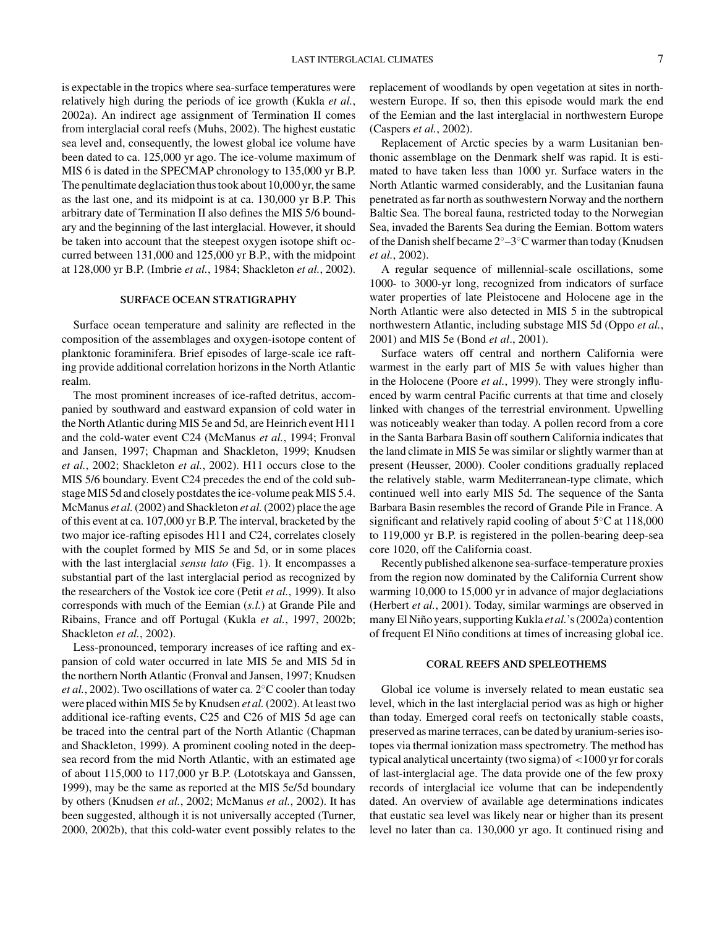is expectable in the tropics where sea-surface temperatures were relatively high during the periods of ice growth (Kukla *et al.*, 2002a). An indirect age assignment of Termination II comes from interglacial coral reefs (Muhs, 2002). The highest eustatic sea level and, consequently, the lowest global ice volume have been dated to ca. 125,000 yr ago. The ice-volume maximum of MIS 6 is dated in the SPECMAP chronology to 135,000 yr B.P. The penultimate deglaciation thus took about 10,000 yr, the same as the last one, and its midpoint is at ca. 130,000 yr B.P. This arbitrary date of Termination II also defines the MIS 5/6 boundary and the beginning of the last interglacial. However, it should be taken into account that the steepest oxygen isotope shift occurred between 131,000 and 125,000 yr B.P., with the midpoint at 128,000 yr B.P. (Imbrie *et al.*, 1984; Shackleton *et al.*, 2002).

#### **SURFACE OCEAN STRATIGRAPHY**

Surface ocean temperature and salinity are reflected in the composition of the assemblages and oxygen-isotope content of planktonic foraminifera. Brief episodes of large-scale ice rafting provide additional correlation horizons in the North Atlantic realm.

The most prominent increases of ice-rafted detritus, accompanied by southward and eastward expansion of cold water in the North Atlantic during MIS 5e and 5d, are Heinrich event H11 and the cold-water event C24 (McManus *et al.*, 1994; Fronval and Jansen, 1997; Chapman and Shackleton, 1999; Knudsen *et al.*, 2002; Shackleton *et al.*, 2002). H11 occurs close to the MIS 5/6 boundary. Event C24 precedes the end of the cold substage MIS 5d and closely postdates the ice-volume peak MIS 5.4. McManus *et al.*(2002) and Shackleton *et al.*(2002) place the age of this event at ca. 107,000 yr B.P. The interval, bracketed by the two major ice-rafting episodes H11 and C24, correlates closely with the couplet formed by MIS 5e and 5d, or in some places with the last interglacial *sensu lato* (Fig. 1). It encompasses a substantial part of the last interglacial period as recognized by the researchers of the Vostok ice core (Petit *et al.*, 1999). It also corresponds with much of the Eemian (*s.l.*) at Grande Pile and Ribains, France and off Portugal (Kukla *et al.*, 1997, 2002b; Shackleton *et al.*, 2002).

Less-pronounced, temporary increases of ice rafting and expansion of cold water occurred in late MIS 5e and MIS 5d in the northern North Atlantic (Fronval and Jansen, 1997; Knudsen *et al.*, 2002). Two oscillations of water ca. 2℃ cooler than today were placed within MIS 5e by Knudsen *et al.*(2002). At least two additional ice-rafting events, C25 and C26 of MIS 5d age can be traced into the central part of the North Atlantic (Chapman and Shackleton, 1999). A prominent cooling noted in the deepsea record from the mid North Atlantic, with an estimated age of about 115,000 to 117,000 yr B.P. (Lototskaya and Ganssen, 1999), may be the same as reported at the MIS 5e/5d boundary by others (Knudsen *et al.*, 2002; McManus *et al.*, 2002). It has been suggested, although it is not universally accepted (Turner, 2000, 2002b), that this cold-water event possibly relates to the

replacement of woodlands by open vegetation at sites in northwestern Europe. If so, then this episode would mark the end of the Eemian and the last interglacial in northwestern Europe (Caspers *et al.*, 2002).

Replacement of Arctic species by a warm Lusitanian benthonic assemblage on the Denmark shelf was rapid. It is estimated to have taken less than 1000 yr. Surface waters in the North Atlantic warmed considerably, and the Lusitanian fauna penetrated as far north as southwestern Norway and the northern Baltic Sea. The boreal fauna, restricted today to the Norwegian Sea, invaded the Barents Sea during the Eemian. Bottom waters of the Danish shelf became 2◦–3◦C warmer than today (Knudsen *et al.*, 2002).

A regular sequence of millennial-scale oscillations, some 1000- to 3000-yr long, recognized from indicators of surface water properties of late Pleistocene and Holocene age in the North Atlantic were also detected in MIS 5 in the subtropical northwestern Atlantic, including substage MIS 5d (Oppo *et al.*, 2001) and MIS 5e (Bond *et al*., 2001).

Surface waters off central and northern California were warmest in the early part of MIS 5e with values higher than in the Holocene (Poore *et al.*, 1999). They were strongly influenced by warm central Pacific currents at that time and closely linked with changes of the terrestrial environment. Upwelling was noticeably weaker than today. A pollen record from a core in the Santa Barbara Basin off southern California indicates that the land climate in MIS 5e was similar or slightly warmer than at present (Heusser, 2000). Cooler conditions gradually replaced the relatively stable, warm Mediterranean-type climate, which continued well into early MIS 5d. The sequence of the Santa Barbara Basin resembles the record of Grande Pile in France. A significant and relatively rapid cooling of about 5◦C at 118,000 to 119,000 yr B.P. is registered in the pollen-bearing deep-sea core 1020, off the California coast.

Recently published alkenone sea-surface-temperature proxies from the region now dominated by the California Current show warming 10,000 to 15,000 yr in advance of major deglaciations (Herbert *et al.*, 2001). Today, similar warmings are observed in many El Niño years, supporting Kukla et al.'s (2002a) contention of frequent El Nino conditions at times of increasing global ice. ˜

### **CORAL REEFS AND SPELEOTHEMS**

Global ice volume is inversely related to mean eustatic sea level, which in the last interglacial period was as high or higher than today. Emerged coral reefs on tectonically stable coasts, preserved as marine terraces, can be dated by uranium-series isotopes via thermal ionization mass spectrometry. The method has typical analytical uncertainty (two sigma) of <1000 yr for corals of last-interglacial age. The data provide one of the few proxy records of interglacial ice volume that can be independently dated. An overview of available age determinations indicates that eustatic sea level was likely near or higher than its present level no later than ca. 130,000 yr ago. It continued rising and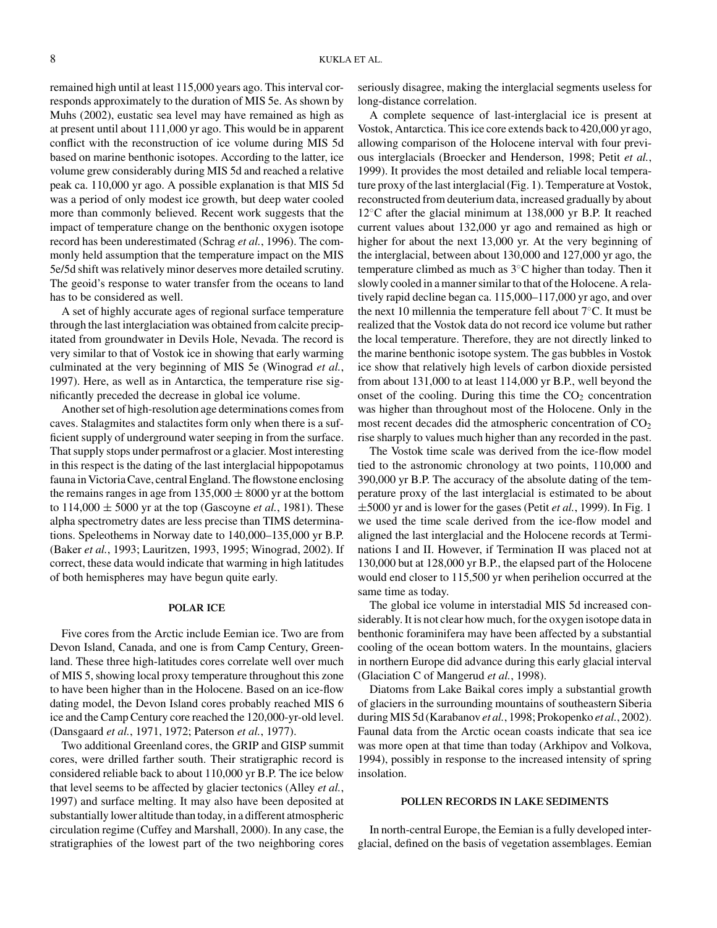remained high until at least 115,000 years ago. This interval corresponds approximately to the duration of MIS 5e. As shown by Muhs (2002), eustatic sea level may have remained as high as at present until about 111,000 yr ago. This would be in apparent conflict with the reconstruction of ice volume during MIS 5d based on marine benthonic isotopes. According to the latter, ice volume grew considerably during MIS 5d and reached a relative peak ca. 110,000 yr ago. A possible explanation is that MIS 5d was a period of only modest ice growth, but deep water cooled more than commonly believed. Recent work suggests that the impact of temperature change on the benthonic oxygen isotope record has been underestimated (Schrag *et al.*, 1996). The commonly held assumption that the temperature impact on the MIS 5e/5d shift was relatively minor deserves more detailed scrutiny. The geoid's response to water transfer from the oceans to land has to be considered as well.

A set of highly accurate ages of regional surface temperature through the last interglaciation was obtained from calcite precipitated from groundwater in Devils Hole, Nevada. The record is very similar to that of Vostok ice in showing that early warming culminated at the very beginning of MIS 5e (Winograd *et al.*, 1997). Here, as well as in Antarctica, the temperature rise significantly preceded the decrease in global ice volume.

Another set of high-resolution age determinations comes from caves. Stalagmites and stalactites form only when there is a sufficient supply of underground water seeping in from the surface. That supply stops under permafrost or a glacier. Most interesting in this respect is the dating of the last interglacial hippopotamus fauna in Victoria Cave, central England. The flowstone enclosing the remains ranges in age from  $135,000 \pm 8000$  yr at the bottom to  $114,000 \pm 5000$  yr at the top (Gascoyne *et al.*, 1981). These alpha spectrometry dates are less precise than TIMS determinations. Speleothems in Norway date to 140,000–135,000 yr B.P. (Baker *et al.*, 1993; Lauritzen, 1993, 1995; Winograd, 2002). If correct, these data would indicate that warming in high latitudes of both hemispheres may have begun quite early.

## **POLAR ICE**

Five cores from the Arctic include Eemian ice. Two are from Devon Island, Canada, and one is from Camp Century, Greenland. These three high-latitudes cores correlate well over much of MIS 5, showing local proxy temperature throughout this zone to have been higher than in the Holocene. Based on an ice-flow dating model, the Devon Island cores probably reached MIS 6 ice and the Camp Century core reached the 120,000-yr-old level. (Dansgaard *et al.*, 1971, 1972; Paterson *et al.*, 1977).

Two additional Greenland cores, the GRIP and GISP summit cores, were drilled farther south. Their stratigraphic record is considered reliable back to about 110,000 yr B.P. The ice below that level seems to be affected by glacier tectonics (Alley *et al.*, 1997) and surface melting. It may also have been deposited at substantially lower altitude than today, in a different atmospheric circulation regime (Cuffey and Marshall, 2000). In any case, the stratigraphies of the lowest part of the two neighboring cores

seriously disagree, making the interglacial segments useless for long-distance correlation.

A complete sequence of last-interglacial ice is present at Vostok, Antarctica. This ice core extends back to 420,000 yr ago, allowing comparison of the Holocene interval with four previous interglacials (Broecker and Henderson, 1998; Petit *et al.*, 1999). It provides the most detailed and reliable local temperature proxy of the last interglacial (Fig. 1). Temperature at Vostok, reconstructed from deuterium data, increased gradually by about 12◦C after the glacial minimum at 138,000 yr B.P. It reached current values about 132,000 yr ago and remained as high or higher for about the next 13,000 yr. At the very beginning of the interglacial, between about 130,000 and 127,000 yr ago, the temperature climbed as much as 3◦C higher than today. Then it slowly cooled in a manner similar to that of the Holocene. A relatively rapid decline began ca. 115,000–117,000 yr ago, and over the next 10 millennia the temperature fell about 7◦C. It must be realized that the Vostok data do not record ice volume but rather the local temperature. Therefore, they are not directly linked to the marine benthonic isotope system. The gas bubbles in Vostok ice show that relatively high levels of carbon dioxide persisted from about 131,000 to at least 114,000 yr B.P., well beyond the onset of the cooling. During this time the  $CO<sub>2</sub>$  concentration was higher than throughout most of the Holocene. Only in the most recent decades did the atmospheric concentration of  $CO<sub>2</sub>$ rise sharply to values much higher than any recorded in the past.

The Vostok time scale was derived from the ice-flow model tied to the astronomic chronology at two points, 110,000 and 390,000 yr B.P. The accuracy of the absolute dating of the temperature proxy of the last interglacial is estimated to be about ±5000 yr and is lower for the gases (Petit *et al.*, 1999). In Fig. 1 we used the time scale derived from the ice-flow model and aligned the last interglacial and the Holocene records at Terminations I and II. However, if Termination II was placed not at 130,000 but at 128,000 yr B.P., the elapsed part of the Holocene would end closer to 115,500 yr when perihelion occurred at the same time as today.

The global ice volume in interstadial MIS 5d increased considerably. It is not clear how much, for the oxygen isotope data in benthonic foraminifera may have been affected by a substantial cooling of the ocean bottom waters. In the mountains, glaciers in northern Europe did advance during this early glacial interval (Glaciation C of Mangerud *et al.*, 1998).

Diatoms from Lake Baikal cores imply a substantial growth of glaciers in the surrounding mountains of southeastern Siberia during MIS 5d (Karabanov *et al.*, 1998; Prokopenko *et al.*, 2002). Faunal data from the Arctic ocean coasts indicate that sea ice was more open at that time than today (Arkhipov and Volkova, 1994), possibly in response to the increased intensity of spring insolation.

## **POLLEN RECORDS IN LAKE SEDIMENTS**

In north-central Europe, the Eemian is a fully developed interglacial, defined on the basis of vegetation assemblages. Eemian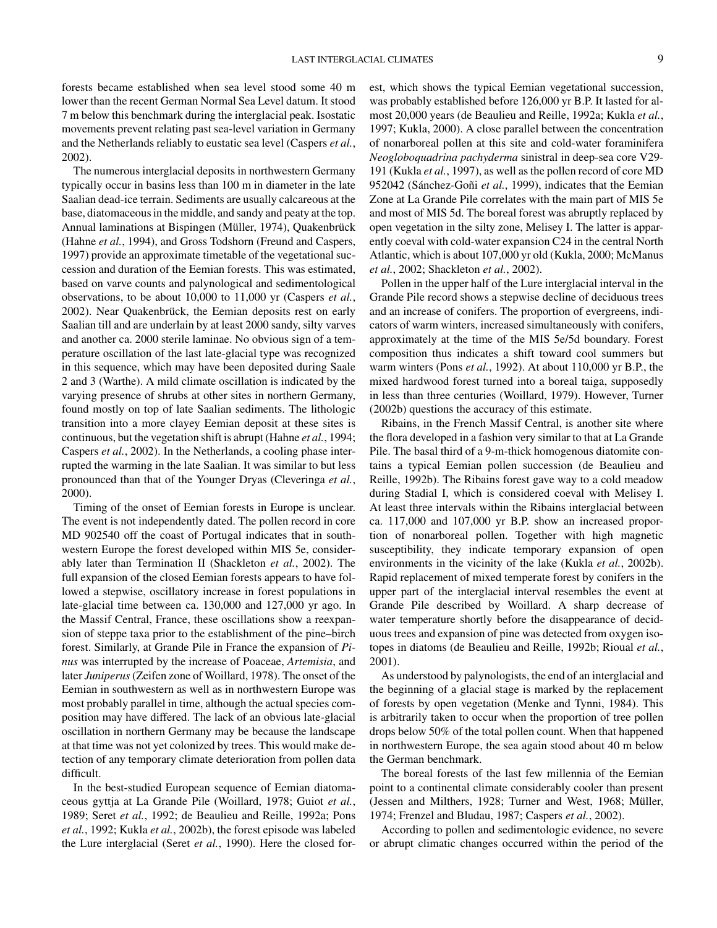forests became established when sea level stood some 40 m lower than the recent German Normal Sea Level datum. It stood 7 m below this benchmark during the interglacial peak. Isostatic movements prevent relating past sea-level variation in Germany and the Netherlands reliably to eustatic sea level (Caspers *et al.*, 2002).

The numerous interglacial deposits in northwestern Germany typically occur in basins less than 100 m in diameter in the late Saalian dead-ice terrain. Sediments are usually calcareous at the base, diatomaceous in the middle, and sandy and peaty at the top. Annual laminations at Bispingen (Müller, 1974), Quakenbrück (Hahne *et al.*, 1994), and Gross Todshorn (Freund and Caspers, 1997) provide an approximate timetable of the vegetational succession and duration of the Eemian forests. This was estimated, based on varve counts and palynological and sedimentological observations, to be about 10,000 to 11,000 yr (Caspers *et al.*, 2002). Near Quakenbrück, the Eemian deposits rest on early Saalian till and are underlain by at least 2000 sandy, silty varves and another ca. 2000 sterile laminae. No obvious sign of a temperature oscillation of the last late-glacial type was recognized in this sequence, which may have been deposited during Saale 2 and 3 (Warthe). A mild climate oscillation is indicated by the varying presence of shrubs at other sites in northern Germany, found mostly on top of late Saalian sediments. The lithologic transition into a more clayey Eemian deposit at these sites is continuous, but the vegetation shift is abrupt (Hahne *et al.*, 1994; Caspers *et al.*, 2002). In the Netherlands, a cooling phase interrupted the warming in the late Saalian. It was similar to but less pronounced than that of the Younger Dryas (Cleveringa *et al.*, 2000).

Timing of the onset of Eemian forests in Europe is unclear. The event is not independently dated. The pollen record in core MD 902540 off the coast of Portugal indicates that in southwestern Europe the forest developed within MIS 5e, considerably later than Termination II (Shackleton *et al.*, 2002). The full expansion of the closed Eemian forests appears to have followed a stepwise, oscillatory increase in forest populations in late-glacial time between ca. 130,000 and 127,000 yr ago. In the Massif Central, France, these oscillations show a reexpansion of steppe taxa prior to the establishment of the pine–birch forest. Similarly, at Grande Pile in France the expansion of *Pinus* was interrupted by the increase of Poaceae, *Artemisia*, and later *Juniperus*(Zeifen zone of Woillard, 1978). The onset of the Eemian in southwestern as well as in northwestern Europe was most probably parallel in time, although the actual species composition may have differed. The lack of an obvious late-glacial oscillation in northern Germany may be because the landscape at that time was not yet colonized by trees. This would make detection of any temporary climate deterioration from pollen data difficult.

In the best-studied European sequence of Eemian diatomaceous gyttja at La Grande Pile (Woillard, 1978; Guiot *et al.*, 1989; Seret *et al.*, 1992; de Beaulieu and Reille, 1992a; Pons *et al.*, 1992; Kukla *et al.*, 2002b), the forest episode was labeled the Lure interglacial (Seret *et al.*, 1990). Here the closed for-

est, which shows the typical Eemian vegetational succession, was probably established before 126,000 yr B.P. It lasted for almost 20,000 years (de Beaulieu and Reille, 1992a; Kukla *et al.*, 1997; Kukla, 2000). A close parallel between the concentration of nonarboreal pollen at this site and cold-water foraminifera *Neogloboquadrina pachyderma* sinistral in deep-sea core V29- 191 (Kukla *et al.*, 1997), as well as the pollen record of core MD 952042 (Sánchez-Goñi et al., 1999), indicates that the Eemian Zone at La Grande Pile correlates with the main part of MIS 5e and most of MIS 5d. The boreal forest was abruptly replaced by open vegetation in the silty zone, Melisey I. The latter is apparently coeval with cold-water expansion C24 in the central North Atlantic, which is about 107,000 yr old (Kukla, 2000; McManus *et al.*, 2002; Shackleton *et al.*, 2002).

Pollen in the upper half of the Lure interglacial interval in the Grande Pile record shows a stepwise decline of deciduous trees and an increase of conifers. The proportion of evergreens, indicators of warm winters, increased simultaneously with conifers, approximately at the time of the MIS 5e/5d boundary. Forest composition thus indicates a shift toward cool summers but warm winters (Pons *et al.*, 1992). At about 110,000 yr B.P., the mixed hardwood forest turned into a boreal taiga, supposedly in less than three centuries (Woillard, 1979). However, Turner (2002b) questions the accuracy of this estimate.

Ribains, in the French Massif Central, is another site where the flora developed in a fashion very similar to that at La Grande Pile. The basal third of a 9-m-thick homogenous diatomite contains a typical Eemian pollen succession (de Beaulieu and Reille, 1992b). The Ribains forest gave way to a cold meadow during Stadial I, which is considered coeval with Melisey I. At least three intervals within the Ribains interglacial between ca. 117,000 and 107,000 yr B.P. show an increased proportion of nonarboreal pollen. Together with high magnetic susceptibility, they indicate temporary expansion of open environments in the vicinity of the lake (Kukla *et al.*, 2002b). Rapid replacement of mixed temperate forest by conifers in the upper part of the interglacial interval resembles the event at Grande Pile described by Woillard. A sharp decrease of water temperature shortly before the disappearance of deciduous trees and expansion of pine was detected from oxygen isotopes in diatoms (de Beaulieu and Reille, 1992b; Rioual *et al.*, 2001).

As understood by palynologists, the end of an interglacial and the beginning of a glacial stage is marked by the replacement of forests by open vegetation (Menke and Tynni, 1984). This is arbitrarily taken to occur when the proportion of tree pollen drops below 50% of the total pollen count. When that happened in northwestern Europe, the sea again stood about 40 m below the German benchmark.

The boreal forests of the last few millennia of the Eemian point to a continental climate considerably cooler than present (Jessen and Milthers, 1928; Turner and West, 1968; Müller, 1974; Frenzel and Bludau, 1987; Caspers *et al.*, 2002).

According to pollen and sedimentologic evidence, no severe or abrupt climatic changes occurred within the period of the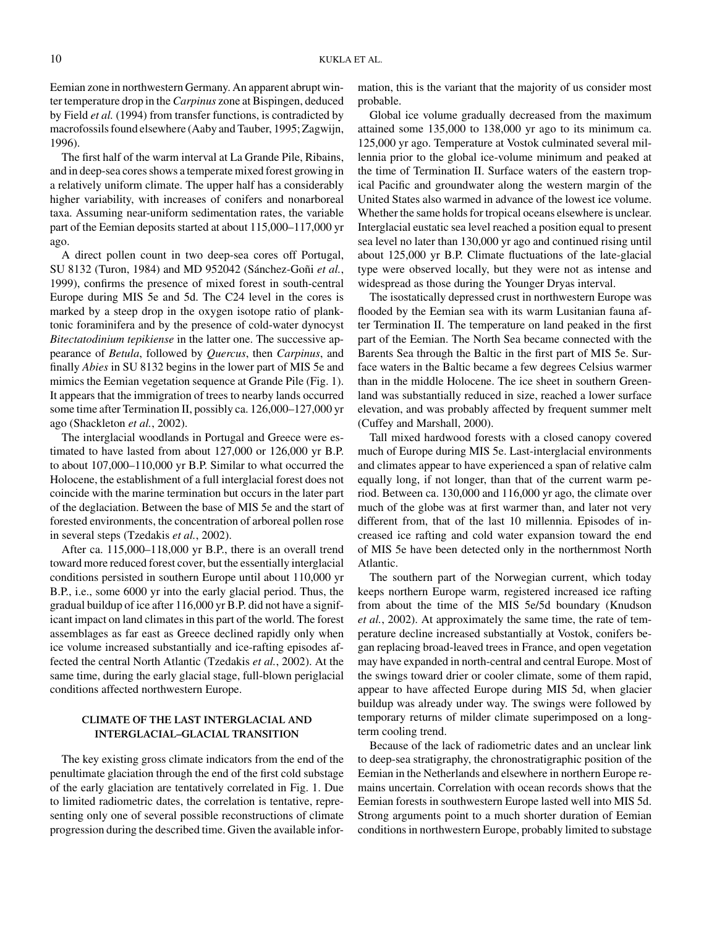Eemian zone in northwestern Germany. An apparent abrupt winter temperature drop in the *Carpinus* zone at Bispingen, deduced by Field *et al.* (1994) from transfer functions, is contradicted by macrofossils found elsewhere (Aaby and Tauber, 1995; Zagwijn, 1996).

The first half of the warm interval at La Grande Pile, Ribains, and in deep-sea cores shows a temperate mixed forest growing in a relatively uniform climate. The upper half has a considerably higher variability, with increases of conifers and nonarboreal taxa. Assuming near-uniform sedimentation rates, the variable part of the Eemian deposits started at about 115,000–117,000 yr ago.

A direct pollen count in two deep-sea cores off Portugal, SU 8132 (Turon, 1984) and MD 952042 (Sánchez-Goñi et al., 1999), confirms the presence of mixed forest in south-central Europe during MIS 5e and 5d. The C24 level in the cores is marked by a steep drop in the oxygen isotope ratio of planktonic foraminifera and by the presence of cold-water dynocyst *Bitectatodinium tepikiense* in the latter one. The successive appearance of *Betula*, followed by *Quercus*, then *Carpinus*, and finally *Abies* in SU 8132 begins in the lower part of MIS 5e and mimics the Eemian vegetation sequence at Grande Pile (Fig. 1). It appears that the immigration of trees to nearby lands occurred some time after Termination II, possibly ca. 126,000–127,000 yr ago (Shackleton *et al.*, 2002).

The interglacial woodlands in Portugal and Greece were estimated to have lasted from about 127,000 or 126,000 yr B.P. to about 107,000–110,000 yr B.P. Similar to what occurred the Holocene, the establishment of a full interglacial forest does not coincide with the marine termination but occurs in the later part of the deglaciation. Between the base of MIS 5e and the start of forested environments, the concentration of arboreal pollen rose in several steps (Tzedakis *et al.*, 2002).

After ca. 115,000–118,000 yr B.P., there is an overall trend toward more reduced forest cover, but the essentially interglacial conditions persisted in southern Europe until about 110,000 yr B.P., i.e., some 6000 yr into the early glacial period. Thus, the gradual buildup of ice after 116,000 yr B.P. did not have a significant impact on land climates in this part of the world. The forest assemblages as far east as Greece declined rapidly only when ice volume increased substantially and ice-rafting episodes affected the central North Atlantic (Tzedakis *et al.*, 2002). At the same time, during the early glacial stage, full-blown periglacial conditions affected northwestern Europe.

## **CLIMATE OF THE LAST INTERGLACIAL AND INTERGLACIAL–GLACIAL TRANSITION**

The key existing gross climate indicators from the end of the penultimate glaciation through the end of the first cold substage of the early glaciation are tentatively correlated in Fig. 1. Due to limited radiometric dates, the correlation is tentative, representing only one of several possible reconstructions of climate progression during the described time. Given the available information, this is the variant that the majority of us consider most probable.

Global ice volume gradually decreased from the maximum attained some 135,000 to 138,000 yr ago to its minimum ca. 125,000 yr ago. Temperature at Vostok culminated several millennia prior to the global ice-volume minimum and peaked at the time of Termination II. Surface waters of the eastern tropical Pacific and groundwater along the western margin of the United States also warmed in advance of the lowest ice volume. Whether the same holds for tropical oceans elsewhere is unclear. Interglacial eustatic sea level reached a position equal to present sea level no later than 130,000 yr ago and continued rising until about 125,000 yr B.P. Climate fluctuations of the late-glacial type were observed locally, but they were not as intense and widespread as those during the Younger Dryas interval.

The isostatically depressed crust in northwestern Europe was flooded by the Eemian sea with its warm Lusitanian fauna after Termination II. The temperature on land peaked in the first part of the Eemian. The North Sea became connected with the Barents Sea through the Baltic in the first part of MIS 5e. Surface waters in the Baltic became a few degrees Celsius warmer than in the middle Holocene. The ice sheet in southern Greenland was substantially reduced in size, reached a lower surface elevation, and was probably affected by frequent summer melt (Cuffey and Marshall, 2000).

Tall mixed hardwood forests with a closed canopy covered much of Europe during MIS 5e. Last-interglacial environments and climates appear to have experienced a span of relative calm equally long, if not longer, than that of the current warm period. Between ca. 130,000 and 116,000 yr ago, the climate over much of the globe was at first warmer than, and later not very different from, that of the last 10 millennia. Episodes of increased ice rafting and cold water expansion toward the end of MIS 5e have been detected only in the northernmost North Atlantic.

The southern part of the Norwegian current, which today keeps northern Europe warm, registered increased ice rafting from about the time of the MIS 5e/5d boundary (Knudson *et al.*, 2002). At approximately the same time, the rate of temperature decline increased substantially at Vostok, conifers began replacing broad-leaved trees in France, and open vegetation may have expanded in north-central and central Europe. Most of the swings toward drier or cooler climate, some of them rapid, appear to have affected Europe during MIS 5d, when glacier buildup was already under way. The swings were followed by temporary returns of milder climate superimposed on a longterm cooling trend.

Because of the lack of radiometric dates and an unclear link to deep-sea stratigraphy, the chronostratigraphic position of the Eemian in the Netherlands and elsewhere in northern Europe remains uncertain. Correlation with ocean records shows that the Eemian forests in southwestern Europe lasted well into MIS 5d. Strong arguments point to a much shorter duration of Eemian conditions in northwestern Europe, probably limited to substage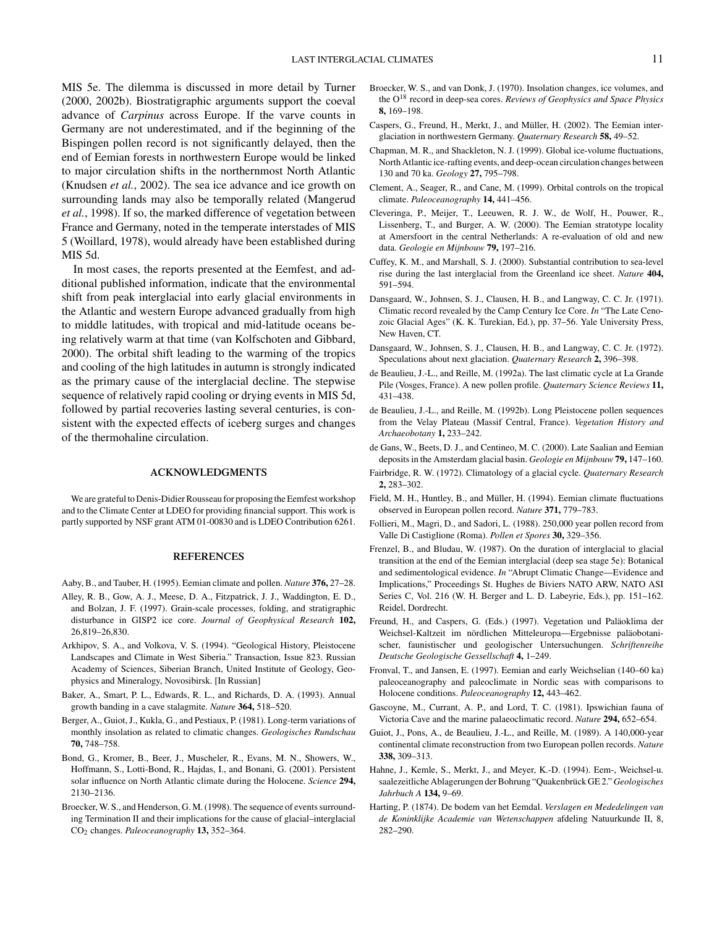MIS 5e. The dilemma is discussed in more detail by Turner (2000, 2002b). Biostratigraphic arguments support the coeval advance of *Carpinus* across Europe. If the varve counts in Germany are not underestimated, and if the beginning of the Bispingen pollen record is not significantly delayed, then the end of Eemian forests in northwestern Europe would be linked to major circulation shifts in the northernmost North Atlantic (Knudsen *et al.*, 2002). The sea ice advance and ice growth on surrounding lands may also be temporally related (Mangerud *et al.*, 1998). If so, the marked difference of vegetation between France and Germany, noted in the temperate interstades of MIS 5 (Woillard, 1978), would already have been established during MIS 5d.

In most cases, the reports presented at the Eemfest, and additional published information, indicate that the environmental shift from peak interglacial into early glacial environments in the Atlantic and western Europe advanced gradually from high to middle latitudes, with tropical and mid-latitude oceans being relatively warm at that time (van Kolfschoten and Gibbard, 2000). The orbital shift leading to the warming of the tropics and cooling of the high latitudes in autumn is strongly indicated as the primary cause of the interglacial decline. The stepwise sequence of relatively rapid cooling or drying events in MIS 5d, followed by partial recoveries lasting several centuries, is consistent with the expected effects of iceberg surges and changes of the thermohaline circulation.

#### **ACKNOWLEDGMENTS**

We are grateful to Denis-Didier Rousseau for proposing the Eemfest workshop and to the Climate Center at LDEO for providing financial support. This work is partly supported by NSF grant ATM 01-00830 and is LDEO Contribution 6261.

#### **REFERENCES**

- Aaby, B., and Tauber, H. (1995). Eemian climate and pollen. *Nature* **376,** 27–28.
- Alley, R. B., Gow, A. J., Meese, D. A., Fitzpatrick, J. J., Waddington, E. D., and Bolzan, J. F. (1997). Grain-scale processes, folding, and stratigraphic disturbance in GISP2 ice core. *Journal of Geophysical Research* **102,** 26,819–26,830.
- Arkhipov, S. A., and Volkova, V. S. (1994). "Geological History, Pleistocene Landscapes and Climate in West Siberia." Transaction, Issue 823. Russian Academy of Sciences, Siberian Branch, United Institute of Geology, Geophysics and Mineralogy, Novosibirsk. [In Russian]
- Baker, A., Smart, P. L., Edwards, R. L., and Richards, D. A. (1993). Annual growth banding in a cave stalagmite. *Nature* **364,** 518–520.
- Berger, A., Guiot, J., Kukla, G., and Pestiaux, P. (1981). Long-term variations of monthly insolation as related to climatic changes. *Geologisches Rundschau* **70,** 748–758.
- Bond, G., Kromer, B., Beer, J., Muscheler, R., Evans, M. N., Showers, W., Hoffmann, S., Lotti-Bond, R., Hajdas, I., and Bonani, G. (2001). Persistent solar influence on North Atlantic climate during the Holocene. *Science* **294,** 2130–2136.
- Broecker, W. S., and Henderson, G. M. (1998). The sequence of events surrounding Termination II and their implications for the cause of glacial–interglacial CO2 changes. *Paleoceanography* **13,** 352–364.
- Broecker, W. S., and van Donk, J. (1970). Insolation changes, ice volumes, and the O<sup>18</sup> record in deep-sea cores. *Reviews of Geophysics and Space Physics* **8,** 169–198.
- Caspers, G., Freund, H., Merkt, J., and Müller, H. (2002). The Eemian interglaciation in northwestern Germany. *Quaternary Research* **58,** 49–52.
- Chapman, M. R., and Shackleton, N. J. (1999). Global ice-volume fluctuations, North Atlantic ice-rafting events, and deep-ocean circulation changes between 130 and 70 ka. *Geology* **27,** 795–798.
- Clement, A., Seager, R., and Cane, M. (1999). Orbital controls on the tropical climate. *Paleoceanography* **14,** 441–456.
- Cleveringa, P., Meijer, T., Leeuwen, R. J. W., de Wolf, H., Pouwer, R., Lissenberg, T., and Burger, A. W. (2000). The Eemian stratotype locality at Amersfoort in the central Netherlands: A re-evaluation of old and new data. *Geologie en Mijnbouw* **79,** 197–216.
- Cuffey, K. M., and Marshall, S. J. (2000). Substantial contribution to sea-level rise during the last interglacial from the Greenland ice sheet. *Nature* **404,** 591–594.
- Dansgaard, W., Johnsen, S. J., Clausen, H. B., and Langway, C. C. Jr. (1971). Climatic record revealed by the Camp Century Ice Core. *In* "The Late Cenozoic Glacial Ages" (K. K. Turekian, Ed.), pp. 37–56. Yale University Press, New Haven, CT.
- Dansgaard, W., Johnsen, S. J., Clausen, H. B., and Langway, C. C. Jr. (1972). Speculations about next glaciation. *Quaternary Research* **2,** 396–398.
- de Beaulieu, J.-L., and Reille, M. (1992a). The last climatic cycle at La Grande Pile (Vosges, France). A new pollen profile. *Quaternary Science Reviews* **11,** 431–438.
- de Beaulieu, J.-L., and Reille, M. (1992b). Long Pleistocene pollen sequences from the Velay Plateau (Massif Central, France). *Vegetation History and Archaeobotany* **1,** 233–242.
- de Gans, W., Beets, D. J., and Centineo, M. C. (2000). Late Saalian and Eemian deposits in the Amsterdam glacial basin. *Geologie en Mijnbouw* **79,** 147–160.
- Fairbridge, R. W. (1972). Climatology of a glacial cycle. *Quaternary Research* **2,** 283–302.
- Field, M. H., Huntley, B., and Müller, H. (1994). Eemian climate fluctuations observed in European pollen record. *Nature* **371,** 779–783.
- Follieri, M., Magri, D., and Sadori, L. (1988). 250,000 year pollen record from Valle Di Castiglione (Roma). *Pollen et Spores* **30,** 329–356.
- Frenzel, B., and Bludau, W. (1987). On the duration of interglacial to glacial transition at the end of the Eemian interglacial (deep sea stage 5e): Botanical and sedimentological evidence. *In* "Abrupt Climatic Change—Evidence and Implications," Proceedings St. Hughes de Biviers NATO ARW, NATO ASI Series C, Vol. 216 (W. H. Berger and L. D. Labeyrie, Eds.), pp. 151–162. Reidel, Dordrecht.
- Freund, H., and Caspers, G. (Eds.) (1997). Vegetation und Paläoklima der Weichsel-Kaltzeit im nördlichen Mitteleuropa-Ergebnisse paläobotanischer, faunistischer und geologischer Untersuchungen. *Schriftenreihe Deutsche Geologische Gessellschaft* **4,** 1–249.
- Fronval, T., and Jansen, E. (1997). Eemian and early Weichselian (140–60 ka) paleoceanography and paleoclimate in Nordic seas with comparisons to Holocene conditions. *Paleoceanography* **12,** 443–462.
- Gascoyne, M., Currant, A. P., and Lord, T. C. (1981). Ipswichian fauna of Victoria Cave and the marine palaeoclimatic record. *Nature* **294,** 652–654.
- Guiot, J., Pons, A., de Beaulieu, J.-L., and Reille, M. (1989). A 140,000-year continental climate reconstruction from two European pollen records. *Nature* **338,** 309–313.
- Hahne, J., Kemle, S., Merkt, J., and Meyer, K.-D. (1994). Eem-, Weichsel-u. saalezeitliche Ablagerungen der Bohrung "Quakenbrück GE 2." Geologisches *Jahrbuch A* **134,** 9–69.
- Harting, P. (1874). De bodem van het Eemdal. *Verslagen en Mededelingen van de Koninklijke Academie van Wetenschappen* afdeling Natuurkunde II, 8, 282–290.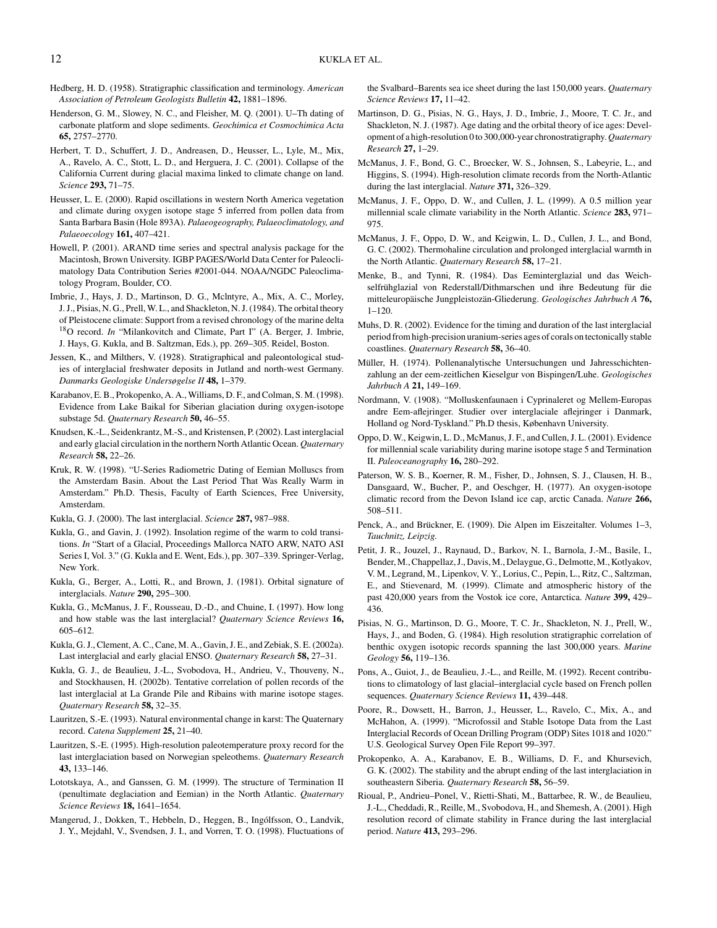- Hedberg, H. D. (1958). Stratigraphic classification and terminology. *American Association of Petroleum Geologists Bulletin* **42,** 1881–1896.
- Henderson, G. M., Slowey, N. C., and Fleisher, M. Q. (2001). U–Th dating of carbonate platform and slope sediments. *Geochimica et Cosmochimica Acta* **65,** 2757–2770.
- Herbert, T. D., Schuffert, J. D., Andreasen, D., Heusser, L., Lyle, M., Mix, A., Ravelo, A. C., Stott, L. D., and Herguera, J. C. (2001). Collapse of the California Current during glacial maxima linked to climate change on land. *Science* **293,** 71–75.
- Heusser, L. E. (2000). Rapid oscillations in western North America vegetation and climate during oxygen isotope stage 5 inferred from pollen data from Santa Barbara Basin (Hole 893A). *Palaeogeography, Palaeoclimatology, and Palaeoecology* **161,** 407–421.
- Howell, P. (2001). ARAND time series and spectral analysis package for the Macintosh, Brown University. IGBP PAGES/World Data Center for Paleoclimatology Data Contribution Series #2001-044. NOAA/NGDC Paleoclimatology Program, Boulder, CO.
- Imbrie, J., Hays, J. D., Martinson, D. G., Mclntyre, A., Mix, A. C., Morley, J. J., Pisias, N. G., Prell, W. L., and Shackleton, N. J. (1984). The orbital theory of Pleistocene climate: Support from a revised chronology of the marine delta 18O record. *In* "Milankovitch and Climate, Part I" (A. Berger, J. Imbrie, J. Hays, G. Kukla, and B. Saltzman, Eds.), pp. 269–305. Reidel, Boston.
- Jessen, K., and Milthers, V. (1928). Stratigraphical and paleontological studies of interglacial freshwater deposits in Jutland and north-west Germany. *Danmarks Geologiske Undersøgelse II* **48,** 1–379.
- Karabanov, E. B., Prokopenko, A. A., Williams, D. F., and Colman, S. M. (1998). Evidence from Lake Baikal for Siberian glaciation during oxygen-isotope substage 5d. *Quaternary Research* **50,** 46–55.
- Knudsen, K.-L., Seidenkrantz, M.-S., and Kristensen, P. (2002). Last interglacial and early glacial circulation in the northern North Atlantic Ocean. *Quaternary Research* **58,** 22–26.
- Kruk, R. W. (1998). "U-Series Radiometric Dating of Eemian Molluscs from the Amsterdam Basin. About the Last Period That Was Really Warm in Amsterdam." Ph.D. Thesis, Faculty of Earth Sciences, Free University, Amsterdam.
- Kukla, G. J. (2000). The last interglacial. *Science* **287,** 987–988.
- Kukla, G., and Gavin, J. (1992). Insolation regime of the warm to cold transitions. *In* "Start of a Glacial, Proceedings Mallorca NATO ARW, NATO ASI Series I, Vol. 3." (G. Kukla and E. Went, Eds.), pp. 307–339. Springer-Verlag, New York.
- Kukla, G., Berger, A., Lotti, R., and Brown, J. (1981). Orbital signature of interglacials. *Nature* **290,** 295–300.
- Kukla, G., McManus, J. F., Rousseau, D.-D., and Chuine, I. (1997). How long and how stable was the last interglacial? *Quaternary Science Reviews* **16,** 605–612.
- Kukla, G. J., Clement, A. C., Cane, M. A., Gavin, J. E., and Zebiak, S. E. (2002a). Last interglacial and early glacial ENSO. *Quaternary Research* **58,** 27–31.
- Kukla, G. J., de Beaulieu, J.-L., Svobodova, H., Andrieu, V., Thouveny, N., and Stockhausen, H. (2002b). Tentative correlation of pollen records of the last interglacial at La Grande Pile and Ribains with marine isotope stages. *Quaternary Research* **58,** 32–35.
- Lauritzen, S.-E. (1993). Natural environmental change in karst: The Quaternary record. *Catena Supplement* **25,** 21–40.
- Lauritzen, S.-E. (1995). High-resolution paleotemperature proxy record for the last interglaciation based on Norwegian speleothems. *Quaternary Research* **43,** 133–146.
- Lototskaya, A., and Ganssen, G. M. (1999). The structure of Termination II (penultimate deglaciation and Eemian) in the North Atlantic. *Quaternary Science Reviews* **18,** 1641–1654.
- Mangerud, J., Dokken, T., Hebbeln, D., Heggen, B., Ingólfsson, O., Landvik, J. Y., Mejdahl, V., Svendsen, J. I., and Vorren, T. O. (1998). Fluctuations of

the Svalbard–Barents sea ice sheet during the last 150,000 years. *Quaternary Science Reviews* **17,** 11–42.

- Martinson, D. G., Pisias, N. G., Hays, J. D., Imbrie, J., Moore, T. C. Jr., and Shackleton, N. J. (1987). Age dating and the orbital theory of ice ages: Development of a high-resolution 0 to 300,000-year chronostratigraphy.*Quaternary Research* **27,** 1–29.
- McManus, J. F., Bond, G. C., Broecker, W. S., Johnsen, S., Labeyrie, L., and Higgins, S. (1994). High-resolution climate records from the North-Atlantic during the last interglacial. *Nature* **371,** 326–329.
- McManus, J. F., Oppo, D. W., and Cullen, J. L. (1999). A 0.5 million year millennial scale climate variability in the North Atlantic. *Science* **283,** 971– 975.
- McManus, J. F., Oppo, D. W., and Keigwin, L. D., Cullen, J. L., and Bond, G. C. (2002). Thermohaline circulation and prolonged interglacial warmth in the North Atlantic. *Quaternary Research* **58,** 17–21.
- Menke, B., and Tynni, R. (1984). Das Eeminterglazial und das Weichselfrühglazial von Rederstall/Dithmarschen und ihre Bedeutung für die mitteleuropäische Jungpleistozän-Gliederung. Geologisches Jahrbuch A 76, 1–120.
- Muhs, D. R. (2002). Evidence for the timing and duration of the last interglacial period from high-precision uranium-series ages of corals on tectonically stable coastlines. *Quaternary Research* **58,** 36–40.
- Müller, H. (1974). Pollenanalytische Untersuchungen und Jahresschichtenzahlung an der eem-zeitlichen Kieselgur von Bispingen/Luhe. *Geologisches Jahrbuch A* **21,** 149–169.
- Nordmann, V. (1908). "Molluskenfaunaen i Cyprinaleret og Mellem-Europas andre Eem-aflejringer. Studier over interglaciale aflejringer i Danmark, Holland og Nord-Tyskland." Ph.D thesis, København University.
- Oppo, D. W., Keigwin, L. D., McManus, J. F., and Cullen, J. L. (2001). Evidence for millennial scale variability during marine isotope stage 5 and Termination II. *Paleoceanography* **16,** 280–292.
- Paterson, W. S. B., Koerner, R. M., Fisher, D., Johnsen, S. J., Clausen, H. B., Dansgaard, W., Bucher, P., and Oeschger, H. (1977). An oxygen-isotope climatic record from the Devon Island ice cap, arctic Canada. *Nature* **266,** 508–511.
- Penck, A., and Brückner, E. (1909). Die Alpen im Eiszeitalter. Volumes 1-3, *Tauchnitz, Leipzig.*
- Petit, J. R., Jouzel, J., Raynaud, D., Barkov, N. I., Barnola, J.-M., Basile, I., Bender, M., Chappellaz, J., Davis, M., Delaygue, G., Delmotte, M., Kotlyakov, V. M., Legrand, M., Lipenkov, V. Y., Lorius, C., Pepin, L., Ritz, C., Saltzman, E., and Stievenard, M. (1999). Climate and atmospheric history of the past 420,000 years from the Vostok ice core, Antarctica. *Nature* **399,** 429– 436.
- Pisias, N. G., Martinson, D. G., Moore, T. C. Jr., Shackleton, N. J., Prell, W., Hays, J., and Boden, G. (1984). High resolution stratigraphic correlation of benthic oxygen isotopic records spanning the last 300,000 years. *Marine Geology* **56,** 119–136.
- Pons, A., Guiot, J., de Beaulieu, J.-L., and Reille, M. (1992). Recent contributions to climatology of last glacial–interglacial cycle based on French pollen sequences. *Quaternary Science Reviews* **11,** 439–448.
- Poore, R., Dowsett, H., Barron, J., Heusser, L., Ravelo, C., Mix, A., and McHahon, A. (1999). "Microfossil and Stable Isotope Data from the Last Interglacial Records of Ocean Drilling Program (ODP) Sites 1018 and 1020." U.S. Geological Survey Open File Report 99–397.
- Prokopenko, A. A., Karabanov, E. B., Williams, D. F., and Khursevich, G. K. (2002). The stability and the abrupt ending of the last interglaciation in southeastern Siberia. *Quaternary Research* **58,** 56–59.
- Rioual, P., Andrieu–Ponel, V., Rietti-Shati, M., Battarbee, R. W., de Beaulieu, J.-L., Cheddadi, R., Reille, M., Svobodova, H., and Shemesh, A. (2001). High resolution record of climate stability in France during the last interglacial period. *Nature* **413,** 293–296.